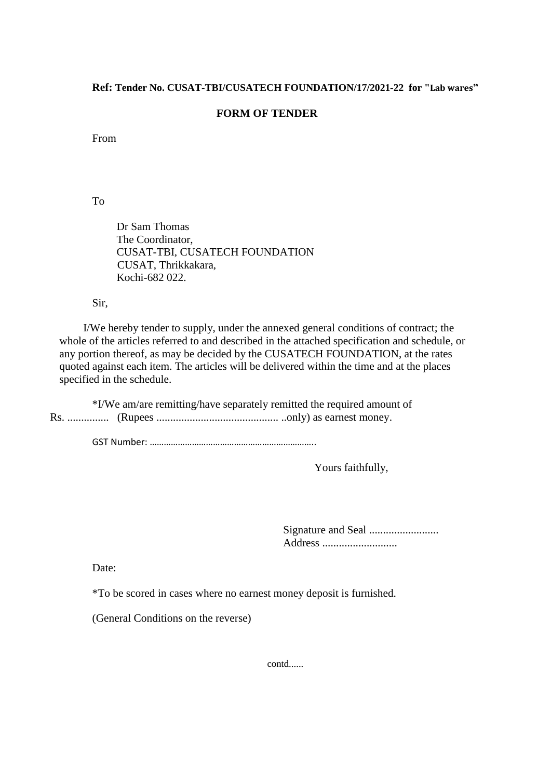## **Ref: Tender No. CUSAT-TBI/CUSATECH FOUNDATION/17/2021-22 for "Lab wares"**

## **FORM OF TENDER**

From

To

Dr Sam Thomas The Coordinator, CUSAT-TBI, CUSATECH FOUNDATION CUSAT, Thrikkakara, Kochi-682 022.

Sir,

I/We hereby tender to supply, under the annexed general conditions of contract; the whole of the articles referred to and described in the attached specification and schedule, or any portion thereof, as may be decided by the CUSATECH FOUNDATION, at the rates quoted against each item. The articles will be delivered within the time and at the places specified in the schedule.

\*I/We am/are remitting/have separately remitted the required amount of Rs. ............... (Rupees ............................................ ..only) as earnest money.

GST Number: ……………………………………………………………..

Yours faithfully,

Signature and Seal ......................... Address ...........................

Date:

\*To be scored in cases where no earnest money deposit is furnished.

(General Conditions on the reverse)

contd......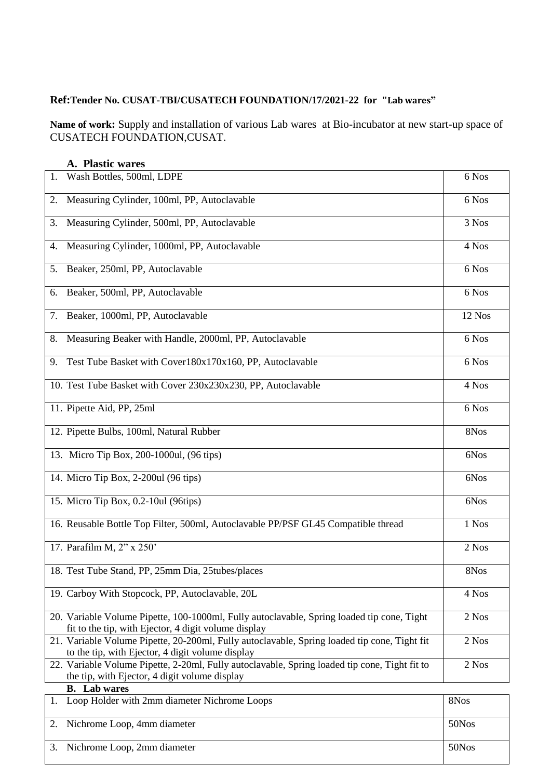# **Ref:Tender No. CUSAT-TBI/CUSATECH FOUNDATION/17/2021-22 for "Lab wares"**

**Name of work:** Supply and installation of various Lab wares at Bio-incubator at new start-up space of CUSATECH FOUNDATION,CUSAT.

|    | A. Plastic wares                                                                                                                                   |        |
|----|----------------------------------------------------------------------------------------------------------------------------------------------------|--------|
| 1. | Wash Bottles, 500ml, LDPE                                                                                                                          | 6 Nos  |
| 2. | Measuring Cylinder, 100ml, PP, Autoclavable                                                                                                        | 6 Nos  |
| 3. | Measuring Cylinder, 500ml, PP, Autoclavable                                                                                                        | 3 Nos  |
| 4. | Measuring Cylinder, 1000ml, PP, Autoclavable                                                                                                       | 4 Nos  |
| 5. | Beaker, 250ml, PP, Autoclavable                                                                                                                    | 6 Nos  |
| 6. | Beaker, 500ml, PP, Autoclavable                                                                                                                    | 6 Nos  |
| 7. | Beaker, 1000ml, PP, Autoclavable                                                                                                                   | 12 Nos |
| 8. | Measuring Beaker with Handle, 2000ml, PP, Autoclavable                                                                                             | 6 Nos  |
| 9. | Test Tube Basket with Cover180x170x160, PP, Autoclavable                                                                                           | 6 Nos  |
|    | 10. Test Tube Basket with Cover 230x230x230, PP, Autoclavable                                                                                      | 4 Nos  |
|    | 11. Pipette Aid, PP, 25ml                                                                                                                          | 6 Nos  |
|    | 12. Pipette Bulbs, 100ml, Natural Rubber                                                                                                           | 8Nos   |
|    | 13. Micro Tip Box, 200-1000ul, (96 tips)                                                                                                           | 6Nos   |
|    | 14. Micro Tip Box, 2-200ul (96 tips)                                                                                                               | 6Nos   |
|    | 15. Micro Tip Box, 0.2-10ul (96tips)                                                                                                               | 6Nos   |
|    | 16. Reusable Bottle Top Filter, 500ml, Autoclavable PP/PSF GL45 Compatible thread                                                                  | 1 Nos  |
|    | 17. Parafilm M, 2" x 250'                                                                                                                          | 2 Nos  |
|    | 18. Test Tube Stand, PP, 25mm Dia, 25tubes/places                                                                                                  | 8Nos   |
|    | 19. Carboy With Stopcock, PP, Autoclavable, 20L                                                                                                    | 4 Nos  |
|    | 20. Variable Volume Pipette, 100-1000ml, Fully autoclavable, Spring loaded tip cone, Tight<br>fit to the tip, with Ejector, 4 digit volume display | 2 Nos  |
|    | 21. Variable Volume Pipette, 20-200ml, Fully autoclavable, Spring loaded tip cone, Tight fit<br>to the tip, with Ejector, 4 digit volume display   | 2 Nos  |
|    | 22. Variable Volume Pipette, 2-20ml, Fully autoclavable, Spring loaded tip cone, Tight fit to<br>the tip, with Ejector, 4 digit volume display     | 2 Nos  |
|    | <b>B.</b> Lab wares                                                                                                                                |        |
| 1. | Loop Holder with 2mm diameter Nichrome Loops                                                                                                       | 8Nos   |
| 2. | Nichrome Loop, 4mm diameter                                                                                                                        | 50Nos  |
| 3. | Nichrome Loop, 2mm diameter                                                                                                                        | 50Nos  |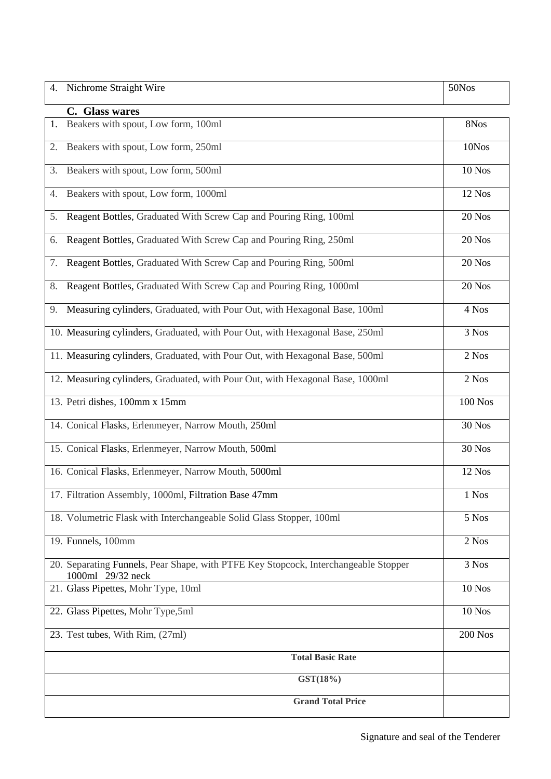| 4.       | Nichrome Straight Wire                                                                                   | 50Nos          |
|----------|----------------------------------------------------------------------------------------------------------|----------------|
|          | C. Glass wares                                                                                           |                |
| 1.       | Beakers with spout, Low form, 100ml                                                                      | 8Nos           |
| 2.       | Beakers with spout, Low form, 250ml                                                                      | 10Nos          |
| 3.       | Beakers with spout, Low form, 500ml                                                                      | 10 Nos         |
| 4.       | Beakers with spout, Low form, 1000ml                                                                     | 12 Nos         |
| 5.       | Reagent Bottles, Graduated With Screw Cap and Pouring Ring, 100ml                                        | 20 Nos         |
| 6.       | Reagent Bottles, Graduated With Screw Cap and Pouring Ring, 250ml                                        | 20 Nos         |
| 7.       | Reagent Bottles, Graduated With Screw Cap and Pouring Ring, 500ml                                        | 20 Nos         |
| 8.       | Reagent Bottles, Graduated With Screw Cap and Pouring Ring, 1000ml                                       | 20 Nos         |
| 9.       | Measuring cylinders, Graduated, with Pour Out, with Hexagonal Base, 100ml                                | 4 Nos          |
|          | 10. Measuring cylinders, Graduated, with Pour Out, with Hexagonal Base, 250ml                            | 3 Nos          |
|          | 11. Measuring cylinders, Graduated, with Pour Out, with Hexagonal Base, 500ml                            | 2 Nos          |
|          | 12. Measuring cylinders, Graduated, with Pour Out, with Hexagonal Base, 1000ml                           | 2 Nos          |
|          | 13. Petri dishes, 100mm x 15mm                                                                           | <b>100 Nos</b> |
|          | 14. Conical Flasks, Erlenmeyer, Narrow Mouth, 250ml                                                      | <b>30 Nos</b>  |
|          | 15. Conical Flasks, Erlenmeyer, Narrow Mouth, 500ml                                                      | <b>30 Nos</b>  |
|          | 16. Conical Flasks, Erlenmeyer, Narrow Mouth, 5000ml                                                     | 12 Nos         |
|          | 17. Filtration Assembly, 1000ml, Filtration Base 47mm                                                    | 1 Nos          |
|          | 18. Volumetric Flask with Interchangeable Solid Glass Stopper, 100ml                                     | 5 Nos          |
|          | 19. Funnels, 100mm                                                                                       | 2 Nos          |
|          | 20. Separating Funnels, Pear Shape, with PTFE Key Stopcock, Interchangeable Stopper<br>1000ml 29/32 neck | 3 Nos          |
|          | 21. Glass Pipettes, Mohr Type, 10ml                                                                      | <b>10 Nos</b>  |
|          | 22. Glass Pipettes, Mohr Type, 5ml                                                                       | $10$ Nos       |
|          | 23. Test tubes, With Rim, (27ml)                                                                         | <b>200 Nos</b> |
|          | <b>Total Basic Rate</b>                                                                                  |                |
| GST(18%) |                                                                                                          |                |
|          | <b>Grand Total Price</b>                                                                                 |                |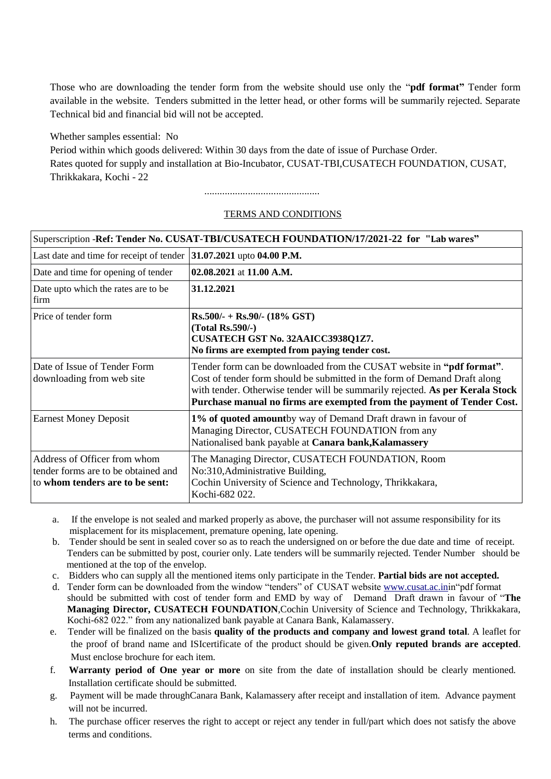Those who are downloading the tender form from the website should use only the "**pdf format"** Tender form available in the website. Tenders submitted in the letter head, or other forms will be summarily rejected. Separate Technical bid and financial bid will not be accepted.

Whether samples essential: No

Period within which goods delivered: Within 30 days from the date of issue of Purchase Order. Rates quoted for supply and installation at Bio-Incubator, CUSAT-TBI,CUSATECH FOUNDATION, CUSAT, Thrikkakara, Kochi - 22

.............................................

### TERMS AND CONDITIONS

| Superscription -Ref: Tender No. CUSAT-TBI/CUSATECH FOUNDATION/17/2021-22 for "Lab wares"               |                                                                                                                                                                                                                                                                                                               |  |  |
|--------------------------------------------------------------------------------------------------------|---------------------------------------------------------------------------------------------------------------------------------------------------------------------------------------------------------------------------------------------------------------------------------------------------------------|--|--|
| Last date and time for receipt of tender                                                               | 31.07.2021 upto 04.00 P.M.                                                                                                                                                                                                                                                                                    |  |  |
| Date and time for opening of tender                                                                    | $02.08.2021$ at 11.00 A.M.                                                                                                                                                                                                                                                                                    |  |  |
| Date upto which the rates are to be<br>firm                                                            | 31.12.2021                                                                                                                                                                                                                                                                                                    |  |  |
| Price of tender form                                                                                   | $Rs.500/- + Rs.90/- (18\% GST)$<br>$(Total Rs.590/-)$<br>CUSATECH GST No. 32AAICC3938Q1Z7.<br>No firms are exempted from paying tender cost.                                                                                                                                                                  |  |  |
| Date of Issue of Tender Form<br>downloading from web site                                              | Tender form can be downloaded from the CUSAT website in "pdf format".<br>Cost of tender form should be submitted in the form of Demand Draft along<br>with tender. Otherwise tender will be summarily rejected. As per Kerala Stock<br>Purchase manual no firms are exempted from the payment of Tender Cost. |  |  |
| <b>Earnest Money Deposit</b>                                                                           | 1% of quoted amountby way of Demand Draft drawn in favour of<br>Managing Director, CUSATECH FOUNDATION from any<br>Nationalised bank payable at Canara bank, Kalamassery                                                                                                                                      |  |  |
| Address of Officer from whom<br>tender forms are to be obtained and<br>to whom tenders are to be sent: | The Managing Director, CUSATECH FOUNDATION, Room<br>No:310, Administrative Building,<br>Cochin University of Science and Technology, Thrikkakara,<br>Kochi-682 022.                                                                                                                                           |  |  |

- a. If the envelope is not sealed and marked properly as above, the purchaser will not assume responsibility for its misplacement for its misplacement, premature opening, late opening.
- b. Tender should be sent in sealed cover so as to reach the undersigned on or before the due date and time of receipt. Tenders can be submitted by post, courier only. Late tenders will be summarily rejected. Tender Number should be mentioned at the top of the envelop.
- c. Bidders who can supply all the mentioned items only participate in the Tender. **Partial bids are not accepted.**
- d. Tender form can be downloaded from the window "tenders" of CUSAT website [www.cusat.ac.ini](http://www.cusat.ac.in/)n"pdf format should be submitted with cost of tender form and EMD by way of Demand Draft drawn in favour of "**The Managing Director, CUSATECH FOUNDATION**,Cochin University of Science and Technology, Thrikkakara, Kochi-682 022." from any nationalized bank payable at Canara Bank, Kalamassery.
- e. Tender will be finalized on the basis **quality of the products and company and lowest grand total**. A leaflet for the proof of brand name and ISIcertificate of the product should be given.**Only reputed brands are accepted**. Must enclose brochure for each item.
- f. **Warranty period of One year or more** on site from the date of installation should be clearly mentioned. Installation certificate should be submitted.
- g. Payment will be made throughCanara Bank, Kalamassery after receipt and installation of item. Advance payment will not be incurred.
- h. The purchase officer reserves the right to accept or reject any tender in full/part which does not satisfy the above terms and conditions.